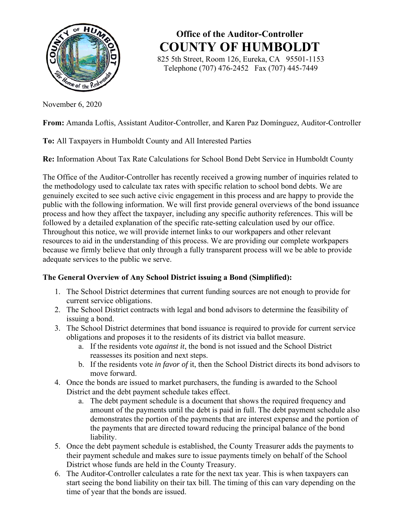

**Office of the Auditor-Controller COUNTY OF HUMBOLDT**

 825 5th Street, Room 126, Eureka, CA 95501-1153 Telephone (707) 476-2452 Fax (707) 445-7449

November 6, 2020

**From:** Amanda Loftis, Assistant Auditor-Controller, and Karen Paz Domínguez, Auditor-Controller

# **To:** All Taxpayers in Humboldt County and All Interested Parties

**Re:** Information About Tax Rate Calculations for School Bond Debt Service in Humboldt County

The Office of the Auditor-Controller has recently received a growing number of inquiries related to the methodology used to calculate tax rates with specific relation to school bond debts. We are genuinely excited to see such active civic engagement in this process and are happy to provide the public with the following information. We will first provide general overviews of the bond issuance process and how they affect the taxpayer, including any specific authority references. This will be followed by a detailed explanation of the specific rate-setting calculation used by our office. Throughout this notice, we will provide internet links to our workpapers and other relevant resources to aid in the understanding of this process. We are providing our complete workpapers because we firmly believe that only through a fully transparent process will we be able to provide adequate services to the public we serve.

# **The General Overview of Any School District issuing a Bond (Simplified):**

- 1. The School District determines that current funding sources are not enough to provide for current service obligations.
- 2. The School District contracts with legal and bond advisors to determine the feasibility of issuing a bond.
- 3. The School District determines that bond issuance is required to provide for current service obligations and proposes it to the residents of its district via ballot measure.
	- a. If the residents vote *against it*, the bond is not issued and the School District reassesses its position and next steps.
	- b. If the residents vote *in favor of* it, then the School District directs its bond advisors to move forward.
- 4. Once the bonds are issued to market purchasers, the funding is awarded to the School District and the debt payment schedule takes effect.
	- a. The debt payment schedule is a document that shows the required frequency and amount of the payments until the debt is paid in full. The debt payment schedule also demonstrates the portion of the payments that are interest expense and the portion of the payments that are directed toward reducing the principal balance of the bond liability.
- 5. Once the debt payment schedule is established, the County Treasurer adds the payments to their payment schedule and makes sure to issue payments timely on behalf of the School District whose funds are held in the County Treasury.
- 6. The Auditor-Controller calculates a rate for the next tax year. This is when taxpayers can start seeing the bond liability on their tax bill. The timing of this can vary depending on the time of year that the bonds are issued.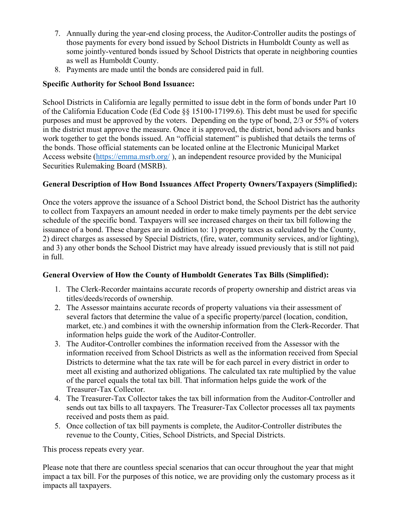- 7. Annually during the year-end closing process, the Auditor-Controller audits the postings of those payments for every bond issued by School Districts in Humboldt County as well as some jointly-ventured bonds issued by School Districts that operate in neighboring counties as well as Humboldt County.
- 8. Payments are made until the bonds are considered paid in full.

# **Specific Authority for School Bond Issuance:**

School Districts in California are legally permitted to issue debt in the form of bonds under Part 10 of the California Education Code (Ed Code §§ 15100-17199.6). This debt must be used for specific purposes and must be approved by the voters. Depending on the type of bond, 2/3 or 55% of voters in the district must approve the measure. Once it is approved, the district, bond advisors and banks work together to get the bonds issued. An "official statement" is published that details the terms of the bonds. Those official statements can be located online at the Electronic Municipal Market Access website (https://emma.msrb.org/ ), an independent resource provided by the Municipal Securities Rulemaking Board (MSRB).

# **General Description of How Bond Issuances Affect Property Owners/Taxpayers (Simplified):**

Once the voters approve the issuance of a School District bond, the School District has the authority to collect from Taxpayers an amount needed in order to make timely payments per the debt service schedule of the specific bond. Taxpayers will see increased charges on their tax bill following the issuance of a bond. These charges are in addition to: 1) property taxes as calculated by the County, 2) direct charges as assessed by Special Districts, (fire, water, community services, and/or lighting), and 3) any other bonds the School District may have already issued previously that is still not paid in full.

# **General Overview of How the County of Humboldt Generates Tax Bills (Simplified):**

- 1. The Clerk-Recorder maintains accurate records of property ownership and district areas via titles/deeds/records of ownership.
- 2. The Assessor maintains accurate records of property valuations via their assessment of several factors that determine the value of a specific property/parcel (location, condition, market, etc.) and combines it with the ownership information from the Clerk-Recorder. That information helps guide the work of the Auditor-Controller.
- 3. The Auditor-Controller combines the information received from the Assessor with the information received from School Districts as well as the information received from Special Districts to determine what the tax rate will be for each parcel in every district in order to meet all existing and authorized obligations. The calculated tax rate multiplied by the value of the parcel equals the total tax bill. That information helps guide the work of the Treasurer-Tax Collector.
- 4. The Treasurer-Tax Collector takes the tax bill information from the Auditor-Controller and sends out tax bills to all taxpayers. The Treasurer-Tax Collector processes all tax payments received and posts them as paid.
- 5. Once collection of tax bill payments is complete, the Auditor-Controller distributes the revenue to the County, Cities, School Districts, and Special Districts.

This process repeats every year.

Please note that there are countless special scenarios that can occur throughout the year that might impact a tax bill. For the purposes of this notice, we are providing only the customary process as it impacts all taxpayers.